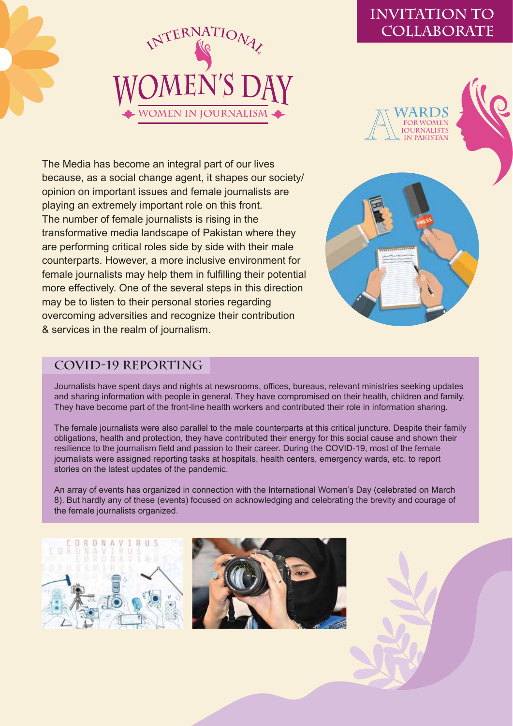

# **INVITATION TO COLLABORATE**

**WARDS FOR WOMEN OURNALISTS IN PAKISTAN**





### **COVID-19 Reporting**

& services in the realm of journalism.

overcoming adversities and recognize their contribution

Journalists have spent days and nights at newsrooms, offices, bureaus, relevant ministries seeking updates and sharing information with people in general. They have compromised on their health, children and family. They have become part of the front-line health workers and contributed their role in information sharing.

The female journalists were also parallel to the male counterparts at this critical juncture. Despite their family obligations, health and protection, they have contributed their energy for this social cause and shown their resilience to the journalism field and passion to their career. During the COVID-19, most of the female journalists were assigned reporting tasks at hospitals, health centers, emergency wards, etc. to report stories on the latest updates of the pandemic.

An array of events has organized in connection with the International Women's Day (celebrated on March 8). But hardly any of these (events) focused on acknowledging and celebrating the brevity and courage of the female journalists organized.